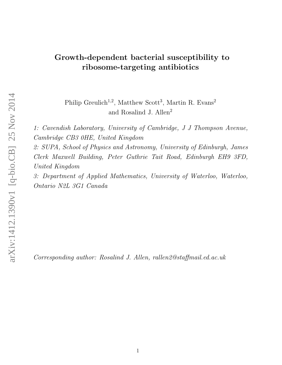# Growth-dependent bacterial susceptibility to ribosome-targeting antibiotics

Philip Greulich<sup>1,2</sup>, Matthew Scott<sup>3</sup>, Martin R. Evans<sup>2</sup> and Rosalind J. Allen<sup>2</sup>

1: Cavendish Laboratory, University of Cambridge, J J Thompson Avenue, Cambridge CB3 0HE, United Kingdom

2: SUPA, School of Physics and Astronomy, University of Edinburgh, James Clerk Maxwell Building, Peter Guthrie Tait Road, Edinburgh EH9 3FD, United Kingdom

3: Department of Applied Mathematics, University of Waterloo, Waterloo, Ontario N2L 3G1 Canada

Corresponding author: Rosalind J. Allen, rallen2@staffmail.ed.ac.uk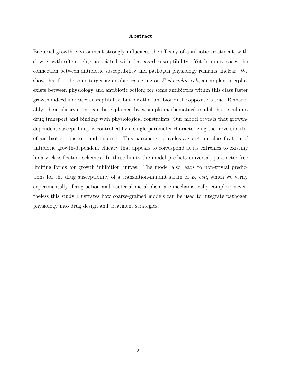## Abstract

Bacterial growth environment strongly influences the efficacy of antibiotic treatment, with slow growth often being associated with decreased susceptibility. Yet in many cases the connection between antibiotic susceptibility and pathogen physiology remains unclear. We show that for ribosome-targeting antibiotics acting on *Escherichia coli*, a complex interplay exists between physiology and antibiotic action; for some antibiotics within this class faster growth indeed increases susceptibility, but for other antibiotics the opposite is true. Remarkably, these observations can be explained by a simple mathematical model that combines drug transport and binding with physiological constraints. Our model reveals that growthdependent susceptibility is controlled by a single parameter characterizing the 'reversibility' of antibiotic transport and binding. This parameter provides a spectrum-classification of antibiotic growth-dependent efficacy that appears to correspond at its extremes to existing binary classification schemes. In these limits the model predicts universal, parameter-free limiting forms for growth inhibition curves. The model also leads to non-trivial predictions for the drug susceptibility of a translation-mutant strain of  $E$ . coli, which we verify experimentally. Drug action and bacterial metabolism are mechanistically complex; nevertheless this study illustrates how coarse-grained models can be used to integrate pathogen physiology into drug design and treatment strategies.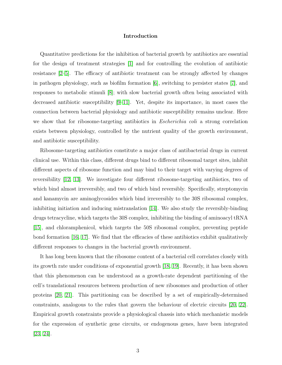#### Introduction

Quantitative predictions for the inhibition of bacterial growth by antibiotics are essential for the design of treatment strategies [\[1\]](#page-23-0) and for controlling the evolution of antibiotic resistance [\[2–](#page-23-1)[5\]](#page-23-2). The efficacy of antibiotic treatment can be strongly affected by changes in pathogen physiology, such as biofilm formation [\[6\]](#page-24-0), switching to persister states [\[7\]](#page-24-1), and responses to metabolic stimuli [\[8\]](#page-24-2); with slow bacterial growth often being associated with decreased antibiotic susceptibility [\[9](#page-24-3)[–11\]](#page-24-4). Yet, despite its importance, in most cases the connection between bacterial physiology and antibiotic susceptibility remains unclear. Here we show that for ribosome-targeting antibiotics in *Escherichia coli* a strong correlation exists between physiology, controlled by the nutrient quality of the growth environment, and antibiotic susceptibility.

Ribosome-targeting antibiotics constitute a major class of antibacterial drugs in current clinical use. Within this class, different drugs bind to different ribosomal target sites, inhibit different aspects of ribosome function and may bind to their target with varying degrees of reversibility [\[12,](#page-24-5) [13\]](#page-24-6). We investigate four different ribosome-targeting antibiotics, two of which bind almost irreversibly, and two of which bind reversibly. Specifically, streptomycin and kanamycin are aminoglycosides which bind irreversibly to the 30S ribosomal complex, inhibiting initiation and inducing mistranslation  $[14]$ . We also study the reversibly-binding drugs tetracycline, which targets the 30S complex, inhibiting the binding of aminoacyl tRNA [\[15\]](#page-24-8), and chloramphenicol, which targets the 50S ribosomal complex, preventing peptide bond formation [\[16,](#page-24-9) [17\]](#page-24-10). We find that the efficacies of these antibiotics exhibit qualitatively different responses to changes in the bacterial growth environment.

It has long been known that the ribosome content of a bacterial cell correlates closely with its growth rate under conditions of exponential growth [\[18,](#page-24-11) [19\]](#page-24-12). Recently, it has been shown that this phenomenon can be understood as a growth-rate dependent partitioning of the cell's translational resources between production of new ribosomes and production of other proteins [\[20,](#page-24-13) [21\]](#page-24-14). This partitioning can be described by a set of empirically-determined constraints, analogous to the rules that govern the behaviour of electric circuits [\[20,](#page-24-13) [22\]](#page-24-15). Empirical growth constraints provide a physiological chassis into which mechanistic models for the expression of synthetic gene circuits, or endogenous genes, have been integrated [\[23,](#page-24-16) [24\]](#page-24-17).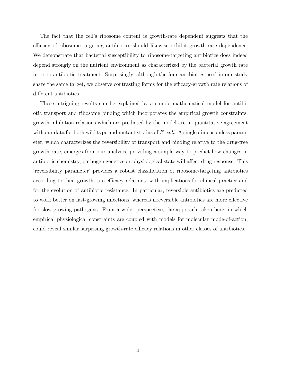The fact that the cell's ribosome content is growth-rate dependent suggests that the efficacy of ribosome-targeting antibiotics should likewise exhibit growth-rate dependence. We demonstrate that bacterial susceptibility to ribosome-targeting antibiotics does indeed depend strongly on the nutrient environment as characterized by the bacterial growth rate prior to antibiotic treatment. Surprisingly, although the four antibiotics used in our study share the same target, we observe contrasting forms for the efficacy-growth rate relations of different antibiotics.

These intriguing results can be explained by a simple mathematical model for antibiotic transport and ribosome binding which incorporates the empirical growth constraints; growth inhibition relations which are predicted by the model are in quantitative agreement with our data for both wild type and mutant strains of  $E.$  coli. A single dimensionless parameter, which characterizes the reversibility of transport and binding relative to the drug-free growth rate, emerges from our analysis, providing a simple way to predict how changes in antibiotic chemistry, pathogen genetics or physiological state will affect drug response. This 'reversibility parameter' provides a robust classification of ribosome-targeting antibiotics according to their growth-rate efficacy relations, with implications for clinical practice and for the evolution of antibiotic resistance. In particular, reversible antibiotics are predicted to work better on fast-growing infections, whereas irreversible antibiotics are more effective for slow-growing pathogens. From a wider perspective, the approach taken here, in which empirical physiological constraints are coupled with models for molecular mode-of-action, could reveal similar surprising growth-rate efficacy relations in other classes of antibiotics.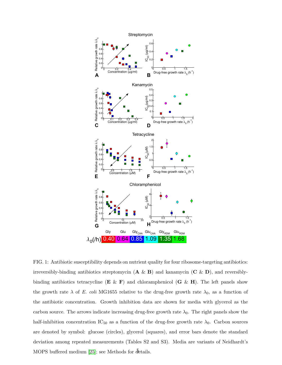

FIG. 1: Antibiotic susceptibility depends on nutrient quality for four ribosome-targeting antibiotics: irreversibly-binding antibiotics streptomycin  $(\mathbf{A} \& \mathbf{B})$  and kanamycin  $(\mathbf{C} \& \mathbf{D})$ , and reversiblybinding antibiotics tetracycline  $(E \& F)$  and chloramphenicol  $(G \& H)$ . The left panels show the growth rate  $\lambda$  of E. coli MG1655 relative to the drug-free growth rate  $\lambda_0$ , as a function of the antibiotic concentration. Growth inhibition data are shown for media with glycerol as the carbon source. The arrows indicate increasing drug-free growth rate  $\lambda_0$ . The right panels show the half-inhibition concentration IC<sub>50</sub> as a function of the drug-free growth rate  $\lambda_0$ . Carbon sources are denoted by symbol: glucose (circles), glycerol (squares), and error bars denote the standard deviation among repeated measurements (Tables S2 and S3). Media are variants of Neidhardt's MOPS buffered medium [\[25\]](#page-24-18); see Methods for details.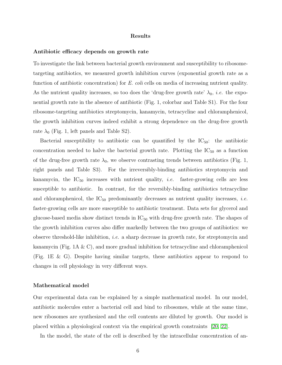#### Results

#### Antibiotic efficacy depends on growth rate

To investigate the link between bacterial growth environment and susceptibility to ribosometargeting antibiotics, we measured growth inhibition curves (exponential growth rate as a function of antibiotic concentration) for E. coli cells on media of increasing nutrient quality. As the nutrient quality increases, so too does the 'drug-free growth rate'  $\lambda_0$ , *i.e.* the exponential growth rate in the absence of antibiotic (Fig. 1, colorbar and Table S1). For the four ribosome-targeting antibiotics streptomycin, kanamycin, tetracycline and chloramphenicol, the growth inhibition curves indeed exhibit a strong dependence on the drug-free growth rate  $\lambda_0$  (Fig. 1, left panels and Table S2).

Bacterial susceptibility to antibiotic can be quantified by the  $IC_{50}$ : the antibiotic concentration needed to halve the bacterial growth rate. Plotting the  $IC_{50}$  as a function of the drug-free growth rate  $\lambda_0$ , we observe contrasting trends between antibiotics (Fig. 1, right panels and Table S3). For the irreversibly-binding antibiotics streptomycin and kanamycin, the  $IC_{50}$  increases with nutrient quality, *i.e.* faster-growing cells are less susceptible to antibiotic. In contrast, for the reversibly-binding antibiotics tetracycline and chloramphenicol, the  $IC_{50}$  predominantly decreases as nutrient quality increases, *i.e.* faster-growing cells are more susceptible to antibiotic treatment. Data sets for glycerol and glucose-based media show distinct trends in  $IC_{50}$  with drug-free growth rate. The shapes of the growth inhibition curves also differ markedly between the two groups of antibiotics: we observe threshold-like inhibition, i.e. a sharp decrease in growth rate, for streptomycin and kanamycin (Fig. 1A & C), and more gradual inhibition for tetracycline and chloramphenicol (Fig. 1E & G). Despite having similar targets, these antibiotics appear to respond to changes in cell physiology in very different ways.

#### Mathematical model

Our experimental data can be explained by a simple mathematical model. In our model, antibiotic molecules enter a bacterial cell and bind to ribosomes, while at the same time, new ribosomes are synthesized and the cell contents are diluted by growth. Our model is placed within a physiological context via the empirical growth constraints [\[20,](#page-24-13) [22\]](#page-24-15).

In the model, the state of the cell is described by the intracellular concentration of an-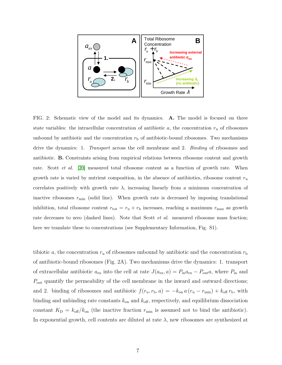

FIG. 2: Schematic view of the model and its dynamics. A. The model is focused on three state variables: the intracellular concentration of antibiotic  $a$ , the concentration  $r_u$  of ribosomes unbound by antibiotic and the concentration  $r<sub>b</sub>$  of antibiotic-bound ribosomes. Two mechanisms drive the dynamics: 1. Transport across the cell membrane and 2. Binding of ribosomes and antibiotic. B. Constraints arising from empirical relations between ribosome content and growth rate. Scott *et al.* [\[20\]](#page-24-13) measured total ribosome content as a function of growth rate. When growth rate is varied by nutrient composition, in the absence of antibiotics, ribosome content  $r_u$ correlates positively with growth rate  $\lambda$ , increasing linearly from a minimum concentration of inactive ribosomes  $r_{\min}$  (solid line). When growth rate is decreased by imposing translational inhibition, total ribosome content  $r_{\text{tot}} = r_{\text{u}} + r_{\text{b}}$  increases, reaching a maximum  $r_{\text{max}}$  as growth rate decreases to zero (dashed lines). Note that Scott *et al.* measured ribosome mass fraction; here we translate these to concentrations (see Supplementary Information, Fig. S1).

tibiotic a, the concentration  $r_u$  of ribosomes unbound by antibiotic and the concentration  $r_b$ of antibiotic-bound ribosomes (Fig. 2A). Two mechanisms drive the dynamics: 1. transport of extracellular antibiotic  $a_{\text{ex}}$  into the cell at rate  $J(a_{\text{ex}}, a) = P_{\text{in}}a_{\text{ex}} - P_{\text{out}}a$ , where  $P_{\text{in}}$  and  $P_{\text{out}}$  quantify the permeability of the cell membrane in the inward and outward directions; and 2. binding of ribosomes and antibiotic  $f(r_u, r_b, a) = -k_{on} a (r_u - r_{min}) + k_{off} r_b$ , with binding and unbinding rate constants  $k_{\text{on}}$  and  $k_{\text{off}}$ , respectively, and equilibrium dissociation constant  $K_{\rm D} = k_{\rm off}/k_{\rm on}$  (the inactive fraction  $r_{\rm min}$  is assumed not to bind the antibiotic). In exponential growth, cell contents are diluted at rate  $\lambda$ , new ribosomes are synthesized at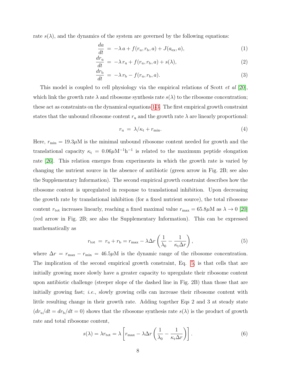rate  $s(\lambda)$ , and the dynamics of the system are governed by the following equations:

$$
\frac{da}{dt} = -\lambda a + f(r_{u}, r_{b}, a) + J(a_{ex}, a),
$$
\n(1)

<span id="page-7-0"></span>
$$
\frac{dr_{\rm u}}{dt} = -\lambda r_{\rm u} + f(r_{\rm u}, r_{\rm b}, a) + s(\lambda),\tag{2}
$$

$$
\frac{dr_{\rm b}}{dt} = -\lambda r_{\rm b} - f(r_{\rm u}, r_{\rm b}, a). \tag{3}
$$

This model is coupled to cell physiology via the empirical relations of Scott *et al* [\[20\]](#page-24-13), which link the growth rate  $\lambda$  and ribosome synthesis rate  $s(\lambda)$  to the ribosome concentration; these act as constraints on the dynamical equations [1-3.](#page-7-0) The first empirical growth constraint states that the unbound ribosome content  $r_u$  and the growth rate  $\lambda$  are linearly proportional:

$$
r_{\rm u} = \lambda/\kappa_{\rm t} + r_{\rm min}.\tag{4}
$$

Here,  $r_{\min} = 19.3 \mu$  is the minimal unbound ribosome content needed for growth and the translational capacity  $\kappa_t = 0.06 \mu M^{-1} h^{-1}$  is related to the maximum peptide elongation rate [\[26\]](#page-24-19). This relation emerges from experiments in which the growth rate is varied by changing the nutrient source in the absence of antibiotic (green arrow in Fig. 2B; see also the Supplementary Information). The second empirical growth constraint describes how the ribosome content is upregulated in response to translational inhibition. Upon decreasing the growth rate by translational inhibition (for a fixed nutrient source), the total ribosome content  $r_{\text{tot}}$  increases linearly, reaching a fixed maximal value  $r_{\text{max}} = 65.8 \mu \text{M}$  as  $\lambda \to 0$  [\[20\]](#page-24-13) (red arrow in Fig. 2B; see also the Supplementary Information). This can be expressed mathematically as

<span id="page-7-1"></span>
$$
r_{\text{tot}} = r_{\text{u}} + r_{\text{b}} = r_{\text{max}} - \lambda \Delta r \left( \frac{1}{\lambda_0} - \frac{1}{\kappa_{\text{t}} \Delta r} \right),\tag{5}
$$

where  $\Delta r = r_{\text{max}} - r_{\text{min}} = 46.5 \mu M$  is the dynamic range of the ribosome concentration. The implication of the second empirical growth constraint, Eq. [5,](#page-7-1) is that cells that are initially growing more slowly have a greater capacity to upregulate their ribosome content upon antibiotic challenge (steeper slope of the dashed line in Fig. 2B) than those that are initially growing fast; i.e., slowly growing cells can increase their ribosome content with little resulting change in their growth rate. Adding together Eqs 2 and 3 at steady state  $(dr_u/dt = dr_b/dt = 0)$  shows that the ribosome synthesis rate  $s(\lambda)$  is the product of growth rate and total ribosome content,

$$
s(\lambda) = \lambda r_{\text{tot}} = \lambda \left[ r_{\text{max}} - \lambda \Delta r \left( \frac{1}{\lambda_0} - \frac{1}{\kappa_{\text{t}} \Delta r} \right) \right]. \tag{6}
$$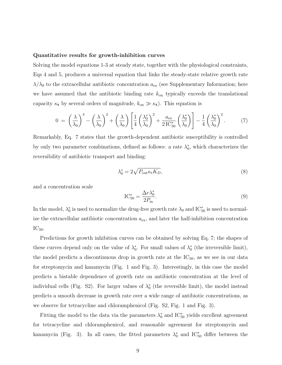#### Quantitative results for growth-inhibition curves

Solving the model equations 1-3 at steady state, together with the physiological constraints, Eqs 4 and 5, produces a universal equation that links the steady-state relative growth rate  $\lambda/\lambda_0$  to the extracellular antibiotic concentration  $a_{\text{ex}}$  (see Supplementary Information; here we have assumed that the antibiotic binding rate  $k_{\text{on}}$  typically exceeds the translational capacity  $\kappa_t$  by several orders of magnitude,  $k_{on} \gg \kappa_t$ ). This equation is

$$
0 = \left(\frac{\lambda}{\lambda_0}\right)^3 - \left(\frac{\lambda}{\lambda_0}\right)^2 + \left(\frac{\lambda}{\lambda_0}\right) \left[\frac{1}{4} \left(\frac{\lambda_0^*}{\lambda_0}\right)^2 + \frac{a_{\text{ex}}}{2 \text{IC}_{50}^*} \left(\frac{\lambda_0^*}{\lambda_0}\right)\right] - \frac{1}{4} \left(\frac{\lambda_0^*}{\lambda_0}\right)^2. \tag{7}
$$

Remarkably, Eq. 7 states that the growth-dependent antibiotic susceptibility is controlled by only two parameter combinations, defined as follows: a rate  $\lambda_0^*$ , which characterizes the reversibility of antibiotic transport and binding:

$$
\lambda_0^* = 2\sqrt{P_{\text{out}}\kappa_t K_D},\tag{8}
$$

and a concentration scale

$$
IC_{50}^* = \frac{\Delta r \lambda_0^*}{2P_{\text{in}}}.
$$
\n
$$
(9)
$$

In the model,  $\lambda_0^*$  is used to normalize the drug-free growth rate  $\lambda_0$  and IC<sup>\*</sup><sub>50</sub> is used to normalize the extracellular antibiotic concentration  $a_{\text{ex}}$ , and later the half-inhibition concentration  $IC_{50}$ .

Predictions for growth inhibition curves can be obtained by solving Eq. 7; the shapes of these curves depend only on the value of  $\lambda_0^*$ . For small values of  $\lambda_0^*$  (the irreversible limit), the model predicts a discontinuous drop in growth rate at the  $IC_{50}$ , as we see in our data for streptomycin and kanamycin (Fig. 1 and Fig. 3). Interestingly, in this case the model predicts a bistable dependence of growth rate on antibiotic concentration at the level of individual cells (Fig. S2). For larger values of  $\lambda_0^*$  (the reversible limit), the model instead predicts a smooth decrease in growth rate over a wide range of antibiotic concentrations, as we observe for tetracycline and chloramphenicol (Fig. S2, Fig. 1 and Fig. 3).

Fitting the model to the data via the parameters  $\lambda_0^*$  and IC<sup>\*</sup><sub>50</sub> yields excellent agreement for tetracycline and chloramphenicol, and reasonable agreement for streptomycin and kanamycin (Fig. 3). In all cases, the fitted parameters  $\lambda_0^*$  and IC<sup>\*</sup><sub>50</sub> differ between the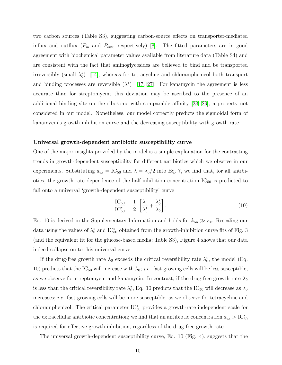two carbon sources (Table S3), suggesting carbon-source effects on transporter-mediated influx and outflux  $(P_{\text{in}}$  and  $P_{\text{out}}$ , respectively) [\[8\]](#page-24-2). The fitted parameters are in good agreement with biochemical parameter values available from literature data (Table S4) and are consistent with the fact that aminoglycosides are believed to bind and be transported irreversibly (small  $\lambda_0^*$ ) [\[14\]](#page-24-7), whereas for tetracycline and chloramphenicol both transport and binding processes are reversible  $(\lambda_0^*)$  [\[17,](#page-24-10) [27\]](#page-24-20). For kanamycin the agreement is less accurate than for streptomycin; this deviation may be ascribed to the presence of an additional binding site on the ribosome with comparable affinity [\[28,](#page-24-21) [29\]](#page-24-22), a property not considered in our model. Nonetheless, our model correctly predicts the sigmoidal form of kanamycin's growth-inhibition curve and the decreasing susceptibility with growth rate.

#### Universal growth-dependent antibiotic susceptibility curve

One of the major insights provided by the model is a simple explanation for the contrasting trends in growth-dependent susceptibility for different antibiotics which we observe in our experiments. Substituting  $a_{\text{ex}} = \text{IC}_{50}$  and  $\lambda = \lambda_0/2$  into Eq. 7, we find that, for all antibiotics, the growth-rate dependence of the half-inhibition concentration  $IC_{50}$  is predicted to fall onto a universal 'growth-dependent susceptibility' curve

$$
\frac{\text{IC}_{50}}{\text{IC}_{50}^{*}} = \frac{1}{2} \left[ \frac{\lambda_0}{\lambda_0^*} + \frac{\lambda_0^*}{\lambda_0} \right].
$$
\n(10)

Eq. 10 is derived in the Supplementary Information and holds for  $k_{on} \gg \kappa_t$ . Rescaling our data using the values of  $\lambda_0^*$  and IC<sup>\*</sup><sub>50</sub> obtained from the growth-inhibition curve fits of Fig. 3 (and the equivalent fit for the glucose-based media; Table S3), Figure 4 shows that our data indeed collapse on to this universal curve.

If the drug-free growth rate  $\lambda_0$  exceeds the critical reversibility rate  $\lambda_0^*$ , the model (Eq. 10) predicts that the IC<sub>50</sub> will increase with  $\lambda_0$ ; *i.e.* fast-growing cells will be less susceptible, as we observe for streptomycin and kanamycin. In contrast, if the drug-free growth rate  $\lambda_0$ is less than the critical reversibility rate  $\lambda_0^*$ , Eq. 10 predicts that the IC<sub>50</sub> will decrease as  $\lambda_0$ increases; i.e. fast-growing cells will be more susceptible, as we observe for tetracycline and chloramphenicol. The critical parameter IC<sup>∗</sup> <sup>50</sup> provides a growth-rate independent scale for the extracellular antibiotic concentration; we find that an antibiotic concentration  $a_{\text{ex}} > \text{IC}^*_{50}$ is required for effective growth inhibition, regardless of the drug-free growth rate.

The universal growth-dependent susceptibility curve, Eq. 10 (Fig. 4), suggests that the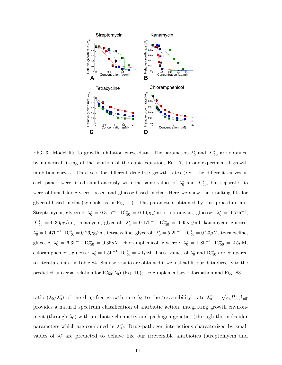

FIG. 3: Model fits to growth inhibition curve data. The parameters  $\lambda_0^*$  and IC<sup>\*</sup><sub>50</sub> are obtained by numerical fitting of the solution of the cubic equation, Eq. 7, to our experimental growth inhibition curves. Data sets for different drug-free growth rates  $(i.e.$  the different curves in each panel) were fitted simultaneously with the same values of  $\lambda_0^*$  and IC<sup>\*</sup><sub>50</sub>, but separate fits were obtained for glycerol-based and glucose-based media. Here we show the resulting fits for glycerol-based media (symbols as in Fig. 1.). The parameters obtained by this procedure are: Streptomycin, glycerol:  $\lambda_0^* = 0.31h^{-1}$ , IC<sup>\*</sup><sub>50</sub> = 0.19µg/ml, streptomycin, glucose:  $\lambda_0^* = 0.57h^{-1}$ , IC<sup>\*</sup><sub>50</sub> = 0.36μg/ml, kanamycin, glycerol:  $\lambda_0^* = 0.17$ h<sup>-1</sup>, IC<sup>\*</sup><sub>50</sub> = 0.05μg/ml, kanamycin, glucose:  $\lambda_0^* = 0.47$ h<sup>-1</sup>, IC<sup>\*</sup><sub>50</sub> = 0.26µg/ml, tetracycline, glycerol:  $\lambda_0^* = 5.2$ h<sup>-1</sup>, IC<sup>\*</sup><sub>50</sub> = 0.23µM, tetracycline, glucose:  $\lambda_0^* = 6.3h^{-1}$ , IC<sup>\*</sup><sub>50</sub> = 0.36 $\mu$ M, chloramphenicol, glycerol:  $\lambda_0^* = 1.8h^{-1}$ , IC<sup>\*</sup><sub>50</sub> = 2.5 $\mu$ M, chloramphenicol, glucose:  $\lambda_0^* = 1.5h^{-1}$ ,  $IC_{50}^* = 4.1 \mu M$ . These values of  $\lambda_0^*$  and  $IC_{50}^*$  are compared to literature data in Table S4. Similar results are obtained if we instead fit our data directly to the predicted universal relation for  $IC_{50}(\lambda_0)$  (Eq. 10); see Supplementary Information and Fig. S3.

ratio  $(\lambda_0/\lambda_0^*)$  of the drug-free growth rate  $\lambda_0$  to the 'reversibility' rate  $\lambda_0^*$  = √  $\overline{\kappa_{\rm t}P_{\rm out}k_{\rm off}}$ provides a natural spectrum classification of antibiotic action, integrating growth environment (through  $\lambda_0$ ) with antibiotic chemistry and pathogen genetics (through the molecular parameters which are combined in  $\lambda_0^*$ ). Drug-pathogen interactions characterized by small values of  $\lambda_0^*$  are predicted to behave like our irreversible antibiotics (streptomycin and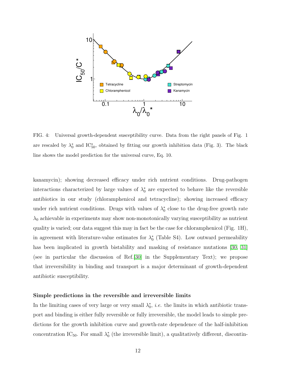

FIG. 4: Universal growth-dependent susceptibility curve. Data from the right panels of Fig. 1 are rescaled by  $\lambda_0^*$  and IC<sup>\*</sup><sub>50</sub>, obtained by fitting our growth inhibition data (Fig. 3). The black line shows the model prediction for the universal curve, Eq. 10.

kanamycin); showing decreased efficacy under rich nutrient conditions. Drug-pathogen interactions characterized by large values of  $\lambda_0^*$  are expected to behave like the reversible antibiotics in our study (chloramphenicol and tetracycline); showing increased efficacy under rich nutrient conditions. Drugs with values of  $\lambda_0^*$  close to the drug-free growth rate  $\lambda_0$  achievable in experiments may show non-monotonically varying susceptibility as nutrient quality is varied; our data suggest this may in fact be the case for chloramphenicol (Fig. 1H), in agreement with literature-value estimates for  $\lambda_0^*$  (Table S4). Low outward permeability has been implicated in growth bistability and masking of resistance mutations [\[30,](#page-25-0) [31\]](#page-25-1) (see in particular the discussion of Ref.[\[30\]](#page-25-0) in the Supplementary Text); we propose that irreversibility in binding and transport is a major determinant of growth-dependent antibiotic susceptibility.

#### Simple predictions in the reversible and irreversible limits

In the limiting cases of very large or very small  $\lambda_0^*$ , *i.e.* the limits in which antibiotic transport and binding is either fully reversible or fully irreversible, the model leads to simple predictions for the growth inhibition curve and growth-rate dependence of the half-inhibition concentration  $IC_{50}$ . For small  $\lambda_0^*$  (the irreversible limit), a qualitatively different, discontin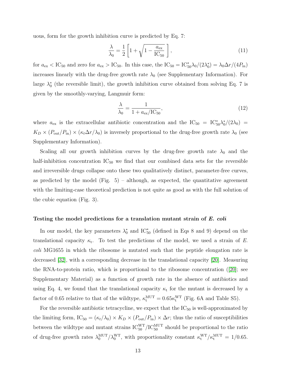uous, form for the growth inhibition curve is predicted by Eq. 7:

$$
\frac{\lambda}{\lambda_0} = \frac{1}{2} \left[ 1 + \sqrt{1 - \frac{a_{\text{ex}}}{\text{IC}_{50}}} \right],\tag{11}
$$

for  $a_{\rm ex} <$  IC<sub>50</sub> and zero for  $a_{\rm ex} >$  IC<sub>50</sub>. In this case, the IC<sub>50</sub> = IC<sup>\*</sup><sub>50</sub> $\lambda_0/(2\lambda_0^*) = \lambda_0 \Delta r/(4P_{\rm in})$ increases linearly with the drug-free growth rate  $\lambda_0$  (see Supplementary Information). For large  $\lambda_0^*$  (the reversible limit), the growth inhibition curve obtained from solving Eq. 7 is given by the smoothly-varying, Langmuir form:

$$
\frac{\lambda}{\lambda_0} = \frac{1}{1 + a_{\text{ex}}/\text{IC}_{50}},\tag{12}
$$

where  $a_{\text{ex}}$  is the extracellular antibiotic concentration and the  $\text{IC}_{50} = \text{IC}_{50}^* \lambda_0^* / (2\lambda_0)$  =  $K_D \times (P_{\text{out}}/P_{\text{in}}) \times (\kappa_t \Delta r/\lambda_0)$  is inversely proportional to the drug-free growth rate  $\lambda_0$  (see Supplementary Information).

Scaling all our growth inhibition curves by the drug-free growth rate  $\lambda_0$  and the half-inhibition concentration  $IC_{50}$  we find that our combined data sets for the reversible and irreversible drugs collapse onto these two qualitatively distinct, parameter-free curves, as predicted by the model (Fig.  $5$ ) – although, as expected, the quantitative agreement with the limiting-case theoretical prediction is not quite as good as with the full solution of the cubic equation (Fig. 3).

#### Testing the model predictions for a translation mutant strain of E. coli

In our model, the key parameters  $\lambda_0^*$  and IC<sup>\*</sup><sub>50</sub> (defined in Eqs 8 and 9) depend on the translational capacity  $\kappa_t$ . To test the predictions of the model, we used a strain of E. coli MG1655 in which the ribosome is mutated such that the peptide elongation rate is decreased [\[32\]](#page-25-2), with a corresponding decrease in the translational capacity [\[20\]](#page-24-13). Measuring the RNA-to-protein ratio, which is proportional to the ribosome concentration ([\[20\]](#page-24-13); see Supplementary Material) as a function of growth rate in the absence of antibiotics and using Eq. 4, we found that the translational capacity  $\kappa_t$  for the mutant is decreased by a factor of 0.65 relative to that of the wildtype,  $\kappa_t^{\text{MUT}} = 0.65 \kappa_t^{\text{WT}}$  (Fig. 6A and Table S5).

For the reversible antibiotic tetracycline, we expect that the  $IC_{50}$  is well-approximated by the limiting form, IC<sub>50</sub> =  $(\kappa_t/\lambda_0) \times K_D \times (P_{\text{out}}/P_{\text{in}}) \times \Delta r$ ; thus the ratio of susceptibilities between the wildtype and mutant strains  $\text{IC}_{50}^{\text{WT}} / \text{IC}_{50}^{\text{MUT}}$  should be proportional to the ratio of drug-free growth rates  $\lambda_0^{\text{MUT}}/\lambda_0^{\text{WT}}$ , with proportionality constant  $\kappa_t^{\text{WT}}/\kappa_t^{\text{MUT}} = 1/0.65$ .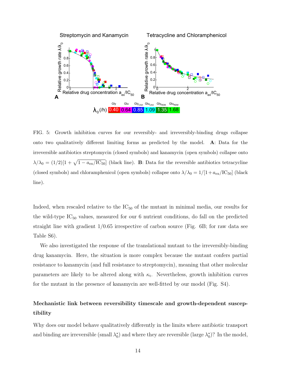

FIG. 5: Growth inhibition curves for our reversibly- and irreversibly-binding drugs collapse onto two qualitatively different limiting forms as predicted by the model. A: Data for the irreversible antibiotics streptomycin (closed symbols) and kanamycin (open symbols) collapse onto  $\lambda/\lambda_0 = (1/2)[1 + \sqrt{1 - a_{\text{ex}}/IC_{50}}]$  (black line). B: Data for the reversible antibiotics tetracycline (closed symbols) and chloramphenicol (open symbols) collapse onto  $\lambda/\lambda_0 = 1/[1 + a_{ex}/IC_{50}]$  (black line).

Indeed, when rescaled relative to the  $IC_{50}$  of the mutant in minimal media, our results for the wild-type  $IC_{50}$  values, measured for our 6 nutrient conditions, do fall on the predicted straight line with gradient  $1/0.65$  irrespective of carbon source (Fig. 6B; for raw data see Table S6).

We also investigated the response of the translational mutant to the irreversibly-binding drug kanamycin. Here, the situation is more complex because the mutant confers partial resistance to kanamycin (and full resistance to streptomycin), meaning that other molecular parameters are likely to be altered along with  $\kappa_t$ . Nevertheless, growth inhibition curves for the mutant in the presence of kanamycin are well-fitted by our model (Fig. S4).

## Mechanistic link between reversibility timescale and growth-dependent susceptibility

Why does our model behave qualitatively differently in the limits where antibiotic transport and binding are irreversible (small  $\lambda_0^*$ ) and where they are reversible (large  $\lambda_0^*$ )? In the model,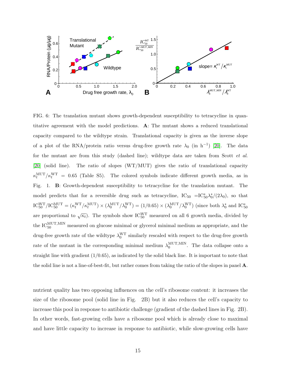

FIG. 6: The translation mutant shows growth-dependent susceptibility to tetracycline in quantitative agreement with the model predictions. A: The mutant shows a reduced translational capacity compared to the wildtype strain. Translational capacity is given as the inverse slope of a plot of the RNA/protein ratio versus drug-free growth rate  $\lambda_0$  (in h<sup>-1</sup>) [\[20\]](#page-24-13). The data for the mutant are from this study (dashed line); wildtype data are taken from Scott et al. [\[20\]](#page-24-13) (solid line). The ratio of slopes (WT/MUT) gives the ratio of translational capacity  $\kappa_t^{\text{MUT}}/\kappa_t^{\text{WT}} = 0.65$  (Table S5). The colored symbols indicate different growth media, as in Fig. 1. B: Growth-dependent susceptibility to tetracycline for the translation mutant. The model predicts that for a reversible drug such as tetracycline,  $IC_{50} = IC_{50}^* \lambda_0^*/(2\lambda_0)$ , so that  $\text{IC}_{50}^{\text{WT}}/\text{IC}_{50}^{\text{MUT}} = (\kappa_t^{\text{WT}}/\kappa_t^{\text{MUT}}) \times (\lambda_0^{\text{MUT}}/\lambda_0^{\text{WT}}) = (1/0.65) \times (\lambda_0^{\text{MUT}}/\lambda_0^{\text{WT}})$  (since both  $\lambda_0^*$  and  $\text{IC}_{50}^*$ are proportional to  $\sqrt{\kappa_t}$ ). The symbols show  $IC_{50}^{WT}$  measured on all 6 growth media, divided by the  $IC_{50}^{MUT,MIN}$  measured on glucose minimal or glycerol minimal medium as appropriate, and the drug-free growth rate of the wildtype  $\lambda_0^{\text{WT}}$  similarly rescaled with respect to the drug-free growth rate of the mutant in the corresponding minimal medium  $\lambda_0^{\text{MUT,MIN}}$  $_0^{\text{MUL},\text{MIN}}$ . The data collapse onto a straight line with gradient  $(1/0.65)$ , as indicated by the solid black line. It is important to note that the solid line is not a line-of-best-fit, but rather comes from taking the ratio of the slopes in panel A.

nutrient quality has two opposing influences on the cell's ribosome content: it increases the size of the ribosome pool (solid line in Fig. 2B) but it also reduces the cell's capacity to increase this pool in response to antibiotic challenge (gradient of the dashed lines in Fig. 2B). In other words, fast-growing cells have a ribosome pool which is already close to maximal and have little capacity to increase in response to antibiotic, while slow-growing cells have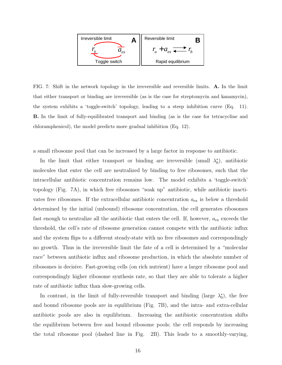

FIG. 7: Shift in the network topology in the irreversible and reversible limits. A. In the limit that either transport or binding are irreversible (as is the case for streptomycin and kanamycin), the system exhibits a 'toggle-switch' topology, leading to a steep inhibition curve (Eq. 11). B. In the limit of fully-equilibrated transport and binding (as is the case for tetracycline and chloramphenicol), the model predicts more gradual inhibition (Eq. 12).

a small ribosome pool that can be increased by a large factor in response to antibiotic.

In the limit that either transport or binding are irreversible (small  $\lambda_0^*$ ), antibiotic molecules that enter the cell are neutralized by binding to free ribosomes, such that the intracellular antibiotic concentration remains low. The model exhibits a 'toggle-switch' topology (Fig. 7A), in which free ribosomes "soak up" antibiotic, while antibiotic inactivates free ribosomes. If the extracellular antibiotic concentration  $a_{\text{ex}}$  is below a threshold determined by the initial (unbound) ribosome concentration, the cell generates ribosomes fast enough to neutralize all the antibiotic that enters the cell. If, however,  $a_{\text{ex}}$  exceeds the threshold, the cell's rate of ribosome generation cannot compete with the antibiotic influx and the system flips to a different steady-state with no free ribosomes and correspondingly no growth. Thus in the irreversible limit the fate of a cell is determined by a "molecular race" between antibiotic influx and ribosome production, in which the absolute number of ribosomes is decisive. Fast-growing cells (on rich nutrient) have a larger ribosome pool and correspondingly higher ribosome synthesis rate, so that they are able to tolerate a higher rate of antibiotic influx than slow-growing cells.

In contrast, in the limit of fully-reversible transport and binding (large  $\lambda_0^*$ ), the free and bound ribosome pools are in equilibrium (Fig. 7B), and the intra- and extra-cellular antibiotic pools are also in equilibrium. Increasing the antibiotic concentration shifts the equilibrium between free and bound ribosome pools; the cell responds by increasing the total ribosome pool (dashed line in Fig. 2B). This leads to a smoothly-varying,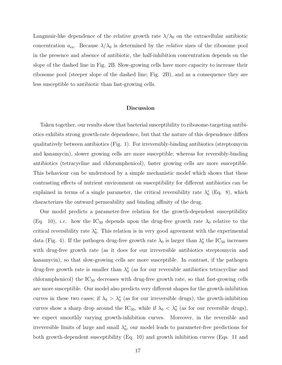Langmuir-like dependence of the relative growth rate  $\lambda/\lambda_0$  on the extracellular antibiotic concentration  $a_{\text{ex}}$ . Because  $\lambda/\lambda_0$  is determined by the *relative* sizes of the ribosome pool in the presence and absence of antibiotic, the half-inhibition concentration depends on the slope of the dashed line in Fig. 2B. Slow-growing cells have more capacity to increase their ribosome pool (steeper slope of the dashed line; Fig. 2B), and as a consequence they are less susceptible to antibiotic than fast-growing cells.

#### Discussion

Taken together, our results show that bacterial susceptibility to ribosome-targeting antibiotics exhibits strong growth-rate dependence, but that the nature of this dependence differs qualitatively between antibiotics (Fig. 1). For irreversibly-binding antibiotics (streptomycin and kanamycin), slower growing cells are more susceptible; whereas for reversibly-binding antibiotics (tetracycline and chloramphenicol), faster growing cells are more susceptible. This behaviour can be understood by a simple mechanistic model which shows that these contrasting effects of nutrient environment on susceptibility for different antibiotics can be explained in terms of a single parameter, the critical reversibility rate  $\lambda_0^*$  (Eq. 8), which characterizes the outward permeability and binding affinity of the drug.

Our model predicts a parameter-free relation for the growth-dependent susceptibility (Eq. 10), *i.e.* how the  $IC_{50}$  depends upon the drug-free growth rate  $\lambda_0$  relative to the critical reversibility rate  $\lambda_0^*$ . This relation is in very good agreement with the experimental data (Fig. 4). If the pathogen drug-free growth rate  $\lambda_0$  is larger than  $\lambda_0^*$  the IC<sub>50</sub> increases with drug-free growth rate (as it does for our irreversible antibiotics streptomycin and kanamycin), so that slow-growing cells are more susceptible. In contrast, if the pathogen drug-free growth rate is smaller than  $\lambda_0^*$  (as for our reversible antibiotics tetracycline and chloramphenicol) the  $IC_{50}$  decreases with drug-free growth rate, so that fast-growing cells are more susceptible. Our model also predicts very different shapes for the growth-inhibition curves in these two cases; if  $\lambda_0 > \lambda_0^*$  (as for our irreversible drugs), the growth-inhibition curves show a sharp drop around the  $IC_{50}$ , while if  $\lambda_0 < \lambda_0^*$  (as for our reversible drugs), we expect smoothly varying growth-inhibition curves. Moreover, in the reversible and irreversible limits of large and small  $\lambda_0^*$ , our model leads to parameter-free predictions for both growth-dependent susceptibility (Eq. 10) and growth inhibition curves (Eqs. 11 and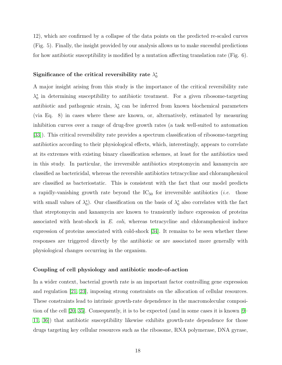12), which are confirmed by a collapse of the data points on the predicted re-scaled curves (Fig. 5). Finally, the insight provided by our analysis allows us to make sucessful predictions for how antibiotic susceptibility is modified by a mutation affecting translation rate (Fig. 6).

## Significance of the critical reversibility rate  $\lambda_0^*$

A major insight arising from this study is the importance of the critical reversibility rate  $\lambda_0^*$  in determining susceptibility to antibiotic treatment. For a given ribosome-targeting antibiotic and pathogenic strain,  $\lambda_0^*$  can be inferred from known biochemical parameters (via Eq. 8) in cases where these are known, or, alternatively, estimated by measuring inhibition curves over a range of drug-free growth rates (a task well-suited to automation [\[33\]](#page-25-3)). This critical reversibility rate provides a spectrum classification of ribosome-targeting antibiotics according to their physiological effects, which, interestingly, appears to correlate at its extremes with existing binary classification schemes, at least for the antibiotics used in this study. In particular, the irreversible antibiotics streptomycin and kanamycin are classified as bactericidal, whereas the reversible antibiotics tetracycline and chloramphenicol are classified as bacteriostatic. This is consistent with the fact that our model predicts a rapidly-vanishing growth rate beyond the  $IC_{50}$  for irreversible antibiotics (*i.e.* those with small values of  $\lambda_0^*$ ). Our classification on the basis of  $\lambda_0^*$  also correlates with the fact that streptomycin and kanamycin are known to transiently induce expression of proteins associated with heat-shock in E. coli, whereas tetracycline and chloramphenicol induce expression of proteins associated with cold-shock [\[34\]](#page-25-4). It remains to be seen whether these responses are triggered directly by the antibiotic or are associated more generally with physiological changes occurring in the organism.

## Coupling of cell physiology and antibiotic mode-of-action

In a wider context, bacterial growth rate is an important factor controlling gene expression and regulation [\[21,](#page-24-14) [23\]](#page-24-16), imposing strong constraints on the allocation of cellular resources. These constraints lead to intrinsic growth-rate dependence in the macromolecular composition of the cell [\[20,](#page-24-13) [35\]](#page-25-5). Consequently, it is to be expected (and in some cases it is known [\[9–](#page-24-3) [11,](#page-24-4) [36\]](#page-25-6)) that antibiotic susceptibility likewise exhibits growth-rate dependence for those drugs targeting key cellular resources such as the ribosome, RNA polymerase, DNA gyrase,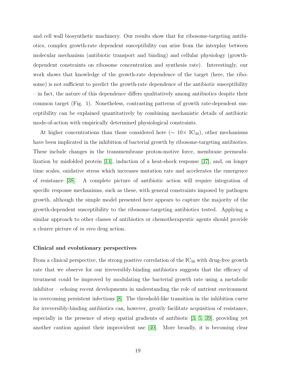and cell wall biosynthetic machinery. Our results show that for ribosome-targeting antibiotics, complex growth-rate dependent susceptibility can arise from the interplay between molecular mechanism (antibiotic transport and binding) and cellular physiology (growthdependent constraints on ribosome concentration and synthesis rate). Interestingly, our work shows that knowledge of the growth-rate dependence of the target (here, the ribosome) is not sufficient to predict the growth-rate dependence of the antibiotic susceptibility – in fact, the nature of this dependence differs qualitatively among antibiotics despite their common target (Fig. 1). Nonetheless, contrasting patterns of growth rate-dependent susceptibility can be explained quantitatively by combining mechanistic details of antibiotic mode-of-action with empirically determined physiological constraints.

At higher concentrations than those considered here ( $\sim 10 \times \text{IC}_{50}$ ), other mechanisms have been implicated in the inhibition of bacterial growth by ribosome-targeting antibiotics. These include changes in the transmembrane proton-motive force, membrane permeabilization by misfolded protein [\[14\]](#page-24-7), induction of a heat-shock response [\[37\]](#page-25-7), and, on longer time scales, oxidative stress which increases mutation rate and accelerates the emergence of resistance [\[38\]](#page-25-8). A complete picture of antibiotic action will require integration of specific response mechanisms, such as these, with general constraints imposed by pathogen growth, although the simple model presented here appears to capture the majority of the growth-dependent susceptibility to the ribosome-targeting antibiotics tested. Applying a similar approach to other classes of antibiotics or chemotherapeutic agents should provide a clearer picture of in vivo drug action.

## Clinical and evolutionary perspectives

From a clinical perspective, the strong positive correlation of the  $IC_{50}$  with drug-free growth rate that we observe for our irreversibly-binding antibiotics suggests that the efficacy of treatment could be improved by modulating the bacterial growth rate using a metabolic inhibitor – echoing recent developments in understanding the role of nutrient environment in overcoming persistent infections [\[8\]](#page-24-2). The threshold-like transition in the inhibition curve for irreversibly-binding antibiotics can, however, greatly facilitate acquisition of resistance, especially in the presence of steep spatial gradients of antibiotic [\[3,](#page-23-3) [5,](#page-23-2) [39\]](#page-25-9), providing yet another caution against their improvident use [\[40\]](#page-25-10). More broadly, it is becoming clear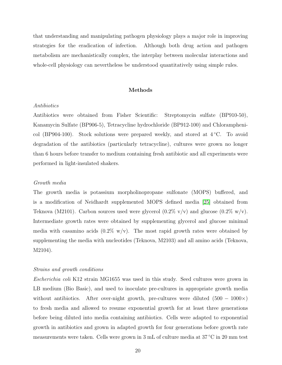that understanding and manipulating pathogen physiology plays a major role in improving strategies for the eradication of infection. Although both drug action and pathogen metabolism are mechanistically complex, the interplay between molecular interactions and whole-cell physiology can nevertheless be understood quantitatively using simple rules.

## Methods

## Antibiotics

Antibiotics were obtained from Fisher Scientific: Streptomycin sulfate (BP910-50), Kanamycin Sulfate (BP906-5), Tetracycline hydrochloride (BP912-100) and Chloramphenicol (BP904-100). Stock solutions were prepared weekly, and stored at  $4 °C$ . To avoid degradation of the antibiotics (particularly tetracycline), cultures were grown no longer than 6 hours before transfer to medium containing fresh antibiotic and all experiments were performed in light-insulated shakers.

## Growth media

The growth media is potassium morpholinopropane sulfonate (MOPS) buffered, and is a modification of Neidhardt supplemented MOPS defined media [\[25\]](#page-24-18) obtained from Teknova (M2101). Carbon sources used were glycerol  $(0.2\% \text{ v/v})$  and glucose  $(0.2\% \text{ w/v})$ . Intermediate growth rates were obtained by supplementing glycerol and glucose minimal media with casamino acids  $(0.2\% \text{ w/v})$ . The most rapid growth rates were obtained by supplementing the media with nucleotides (Teknova, M2103) and all amino acids (Teknova, M2104).

#### Strains and growth conditions

Escherichia coli K12 strain MG1655 was used in this study. Seed cultures were grown in LB medium (Bio Basic), and used to inoculate pre-cultures in appropriate growth media without antibiotics. After over-night growth, pre-cultures were diluted  $(500 - 1000 \times)$ to fresh media and allowed to resume exponential growth for at least three generations before being diluted into media containing antibiotics. Cells were adapted to exponential growth in antibiotics and grown in adapted growth for four generations before growth rate measurements were taken. Cells were grown in 3 mL of culture media at 37 ◦C in 20 mm test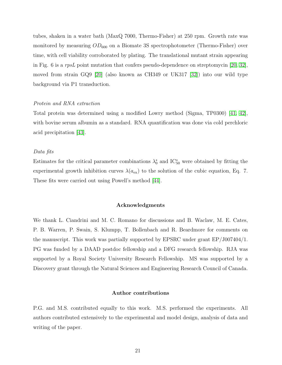tubes, shaken in a water bath (MaxQ 7000, Thermo-Fisher) at 250 rpm. Growth rate was monitored by measuring  $OD_{600}$  on a Biomate 3S spectrophotometer (Thermo-Fisher) over time, with cell viability corroborated by plating. The translational mutant strain appearing in Fig. 6 is a rpsL point mutation that confers pseudo-dependence on streptomycin [\[20,](#page-24-13) [32\]](#page-25-2), moved from strain GQ9 [\[20\]](#page-24-13) (also known as CH349 or UK317 [\[32\]](#page-25-2)) into our wild type background via P1 transduction.

## Protein and RNA extraction

Total protein was determined using a modified Lowry method (Sigma, TP0300) [\[41,](#page-25-11) [42\]](#page-25-12), with bovine serum albumin as a standard. RNA quantification was done via cold perchloric acid precipitation [\[43\]](#page-25-13).

#### Data fits

Estimates for the critical parameter combinations  $\lambda_0^*$  and IC<sup>\*</sup><sub>50</sub> were obtained by fitting the experimental growth inhibition curves  $\lambda(a_{\rm ex})$  to the solution of the cubic equation, Eq. 7. These fits were carried out using Powell's method [\[44\]](#page-25-14).

## Acknowledgments

We thank L. Ciandrini and M. C. Romano for discussions and B. Waclaw, M. E. Cates, P. B. Warren, P. Swain, S. Klumpp, T. Bollenbach and R. Beardmore for comments on the manuscript. This work was partially supported by EPSRC under grant EP/J007404/1. PG was funded by a DAAD postdoc fellowship and a DFG research fellowship. RJA was supported by a Royal Society University Research Fellowship. MS was supported by a Discovery grant through the Natural Sciences and Engineering Research Council of Canada.

#### Author contributions

P.G. and M.S. contributed equally to this work. M.S. performed the experiments. All authors contributed extensively to the experimental and model design, analysis of data and writing of the paper.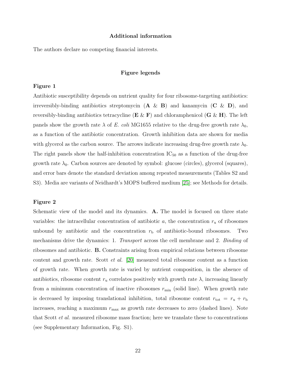#### Additional information

The authors declare no competing financial interests.

## Figure legends

## Figure 1

Antibiotic susceptibility depends on nutrient quality for four ribosome-targeting antibiotics: irreversibly-binding antibiotics streptomycin  $(A \& B)$  and kanamycin  $(C \& D)$ , and reversibly-binding antibiotics tetracycline  $(E \& F)$  and chloramphenicol  $(G \& H)$ . The left panels show the growth rate  $\lambda$  of E. coli MG1655 relative to the drug-free growth rate  $\lambda_0$ , as a function of the antibiotic concentration. Growth inhibition data are shown for media with glycerol as the carbon source. The arrows indicate increasing drug-free growth rate  $\lambda_0$ . The right panels show the half-inhibition concentration  $IC_{50}$  as a function of the drug-free growth rate  $\lambda_0$ . Carbon sources are denoted by symbol: glucose (circles), glycerol (squares), and error bars denote the standard deviation among repeated measurements (Tables S2 and S3). Media are variants of Neidhardt's MOPS buffered medium [\[25\]](#page-24-18); see Methods for details.

#### Figure 2

Schematic view of the model and its dynamics. A. The model is focused on three state variables: the intracellular concentration of antibiotic  $a$ , the concentration  $r_u$  of ribosomes unbound by antibiotic and the concentration  $r<sub>b</sub>$  of antibiotic-bound ribosomes. Two mechanisms drive the dynamics: 1. Transport across the cell membrane and 2. Binding of ribosomes and antibiotic. B. Constraints arising from empirical relations between ribosome content and growth rate. Scott et al. [\[20\]](#page-24-13) measured total ribosome content as a function of growth rate. When growth rate is varied by nutrient composition, in the absence of antibiotics, ribosome content  $r_u$  correlates positively with growth rate  $\lambda$ , increasing linearly from a minimum concentration of inactive ribosomes  $r_{\min}$  (solid line). When growth rate is decreased by imposing translational inhibition, total ribosome content  $r_{\text{tot}} = r_{\text{u}} + r_{\text{b}}$ increases, reaching a maximum  $r_{\text{max}}$  as growth rate decreases to zero (dashed lines). Note that Scott et al. measured ribosome mass fraction; here we translate these to concentrations (see Supplementary Information, Fig. S1).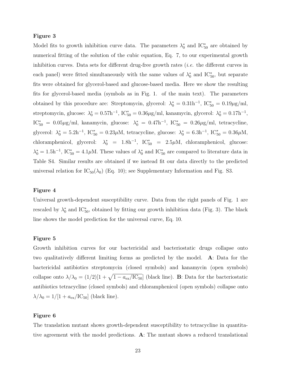## Figure 3

Model fits to growth inhibition curve data. The parameters  $\lambda_0^*$  and  $IC_{50}^*$  are obtained by numerical fitting of the solution of the cubic equation, Eq. 7, to our experimental growth inhibition curves. Data sets for different drug-free growth rates (*i.e.* the different curves in each panel) were fitted simultaneously with the same values of  $\lambda_0^*$  and IC<sup>\*</sup><sub>50</sub>, but separate fits were obtained for glycerol-based and glucose-based media. Here we show the resulting fits for glycerol-based media (symbols as in Fig. 1. of the main text). The parameters obtained by this procedure are: Streptomycin, glycerol:  $\lambda_0^* = 0.31$ h<sup>-1</sup>, IC<sup>\*</sup><sub>50</sub> = 0.19 $\mu$ g/ml, streptomycin, glucose:  $\lambda_0^* = 0.57$ h<sup>-1</sup>, IC<sup>\*</sup><sub>50</sub> = 0.36 $\mu$ g/ml, kanamycin, glycerol:  $\lambda_0^* = 0.17$ h<sup>-1</sup>,  $\text{IC}^*_{50} = 0.05 \,\mu\text{g/ml}$ , kanamycin, glucose:  $\lambda_0^* = 0.47 \text{h}^{-1}$ ,  $\text{IC}^*_{50} = 0.26 \,\mu\text{g/ml}$ , tetracycline, glycerol:  $\lambda_0^* = 5.2h^{-1}$ , IC<sup>\*</sup><sub>50</sub> = 0.23 $\mu$ M, tetracycline, glucose:  $\lambda_0^* = 6.3h^{-1}$ , IC<sup>\*</sup><sub>50</sub> = 0.36 $\mu$ M, chloramphenicol, glycerol:  $\lambda_0^* = 1.8h^{-1}$ , IC<sup>\*</sup><sub>50</sub> = 2.5 $\mu$ M, chloramphenicol, glucose:  $\lambda_0^* = 1.5$ h<sup>-1</sup>, IC<sup>\*</sup><sub>50</sub> = 4.1µM. These values of  $\lambda_0^*$  and IC<sup>\*</sup><sub>50</sub> are compared to literature data in Table S4. Similar results are obtained if we instead fit our data directly to the predicted universal relation for  $IC_{50}(\lambda_0)$  (Eq. 10); see Supplementary Information and Fig. S3.

## Figure 4

Universal growth-dependent susceptibility curve. Data from the right panels of Fig. 1 are rescaled by  $\lambda_0^*$  and  $IC_{50}^*$ , obtained by fitting our growth inhibition data (Fig. 3). The black line shows the model prediction for the universal curve, Eq. 10.

## Figure 5

Growth inhibition curves for our bactericidal and bacteriostatic drugs collapse onto two qualitatively different limiting forms as predicted by the model. A: Data for the bactericidal antibiotics streptomycin (closed symbols) and kanamycin (open symbols) collapse onto  $\lambda/\lambda_0 = (1/2)[1 + \sqrt{1 - a_{\rm ex}/\text{IC}_{50}}]$  (black line). B: Data for the bacteriostatic antibiotics tetracycline (closed symbols) and chloramphenicol (open symbols) collapse onto  $\lambda/\lambda_0 = 1/[1 + a_{\rm ex}/\text{IC}_{50}]$  (black line).

## Figure 6

The translation mutant shows growth-dependent susceptibility to tetracycline in quantitative agreement with the model predictions. A: The mutant shows a reduced translational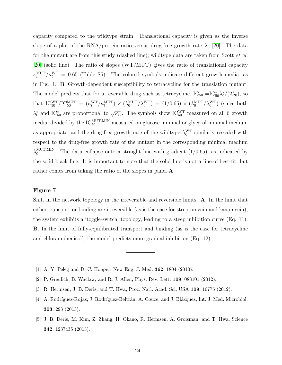capacity compared to the wildtype strain. Translational capacity is given as the inverse slope of a plot of the RNA/protein ratio versus drug-free growth rate  $\lambda_0$  [\[20\]](#page-24-13). The data for the mutant are from this study (dashed line); wildtype data are taken from Scott *et al.* [\[20\]](#page-24-13) (solid line). The ratio of slopes (WT/MUT) gives the ratio of translational capacity  $\kappa_t^{\text{MUT}}/\kappa_t^{\text{WT}} = 0.65$  (Table S5). The colored symbols indicate different growth media, as in Fig. 1. B: Growth-dependent susceptibility to tetracycline for the translation mutant. The model predicts that for a reversible drug such as tetracycline,  $IC_{50} = IC_{50}^* \lambda_0^*/(2\lambda_0)$ , so that  $IC_{50}^{WT}/IC_{50}^{MUT} = (\kappa_t^{WT}/\kappa_t^{MUT}) \times (\lambda_0^{MUT}/\lambda_0^{WT}) = (1/0.65) \times (\lambda_0^{MUT}/\lambda_0^{WT})$  (since both  $\lambda_0^*$  and IC<sup>\*</sup><sub>50</sub> are proportional to  $\sqrt{\kappa_t}$ ). The symbols show IC<sup>WT</sup> measured on all 6 growth media, divided by the  $\text{IC}_{50}^{\text{MUT,MIN}}$  measured on glucose minimal or glycerol minimal medium as appropriate, and the drug-free growth rate of the wildtype  $\lambda_0^{\text{WT}}$  similarly rescaled with respect to the drug-free growth rate of the mutant in the corresponding minimal medium  $\lambda_0^{\text{MUT},\text{MIN}}$  $_{0}^{\text{MUT,MIN}}$ . The data collapse onto a straight line with gradient  $(1/0.65)$ , as indicated by the solid black line. It is important to note that the solid line is not a line-of-best-fit, but rather comes from taking the ratio of the slopes in panel A.

## Figure 7

Shift in the network topology in the irreversible and reversible limits. A. In the limit that either transport or binding are irreversible (as is the case for streptomycin and kanamycin), the system exhibits a 'toggle-switch' topology, leading to a steep inhibition curve (Eq. 11). B. In the limit of fully-equilibrated transport and binding (as is the case for tetracycline and chloramphenicol), the model predicts more gradual inhibition (Eq. 12).

- <span id="page-23-1"></span><span id="page-23-0"></span>[1] A. Y. Peleg and D. C. Hooper, New Eng. J. Med. 362, 1804 (2010).
- <span id="page-23-3"></span>[2] P. Greulich, B. Waclaw, and R. J. Allen, Phys. Rev. Lett. 109, 088101 (2012).
- [3] R. Hermsen, J. B. Deris, and T. Hwa, Proc. Natl. Acad. Sci. USA 109, 10775 (2012).
- [4] A. Rodríguez-Rojas, J. Rodríguez-Beltrán, A. Couce, and J. Blázquez, Int. J. Med. Microbiol. 303, 293 (2013).
- <span id="page-23-2"></span>[5] J. B. Deris, M. Kim, Z. Zhang, H. Okano, R. Hermsen, A. Groisman, and T. Hwa, Science 342, 1237435 (2013).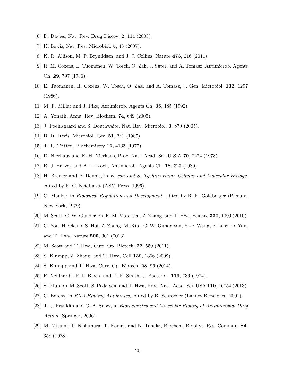- <span id="page-24-1"></span><span id="page-24-0"></span>[6] D. Davies, Nat. Rev. Drug Discov. **2**, 114 (2003).
- <span id="page-24-2"></span>[7] K. Lewis, Nat. Rev. Microbiol. 5, 48 (2007).
- <span id="page-24-3"></span>[8] K. R. Allison, M. P. Brynildsen, and J. J. Collins, Nature 473, 216 (2011).
- [9] R. M. Cozens, E. Tuomanen, W. Tosch, O. Zak, J. Suter, and A. Tomasz, Antimicrob. Agents Ch. 29, 797 (1986).
- [10] E. Tuomanen, R. Cozens, W. Tosch, O. Zak, and A. Tomasz, J. Gen. Microbiol. 132, 1297 (1986).
- <span id="page-24-5"></span><span id="page-24-4"></span>[11] M. R. Millar and J. Pike, Antimicrob. Agents Ch. 36, 185 (1992).
- <span id="page-24-6"></span>[12] A. Yonath, Annu. Rev. Biochem. 74, 649 (2005).
- <span id="page-24-7"></span>[13] J. Poehlsgaard and S. Douthwaite, Nat. Rev. Microbiol. 3, 870 (2005).
- <span id="page-24-8"></span>[14] B. D. Davis, Microbiol. Rev. **51**, 341 (1987).
- <span id="page-24-9"></span>[15] T. R. Tritton, Biochemistry 16, 4133 (1977).
- <span id="page-24-10"></span>[16] D. Nierhaus and K. H. Nierhaus, Proc. Natl. Acad. Sci. U S A 70, 2224 (1973).
- <span id="page-24-11"></span>[17] R. J. Harvey and A. L. Koch, Antimicrob. Agents Ch. 18, 323 (1980).
- [18] H. Bremer and P. Dennis, in E. coli and S. Typhimurium: Cellular and Molecular Biology, edited by F. C. Neidhardt (ASM Press, 1996).
- <span id="page-24-12"></span>[19] O. Maaloe, in Biological Regulation and Development, edited by R. F. Goldberger (Plenum, New York, 1979).
- <span id="page-24-14"></span><span id="page-24-13"></span>[20] M. Scott, C. W. Gunderson, E. M. Mateescu, Z. Zhang, and T. Hwa, Science 330, 1099 (2010).
- [21] C. You, H. Okano, S. Hui, Z. Zhang, M. Kim, C. W. Gunderson, Y.-P. Wang, P. Lenz, D. Yan, and T. Hwa, Nature 500, 301 (2013).
- <span id="page-24-16"></span><span id="page-24-15"></span>[22] M. Scott and T. Hwa, Curr. Op. Biotech. 22, 559 (2011).
- <span id="page-24-17"></span>[23] S. Klumpp, Z. Zhang, and T. Hwa, Cell 139, 1366 (2009).
- <span id="page-24-18"></span>[24] S. Klumpp and T. Hwa, Curr. Op. Biotech. 28, 96 (2014).
- <span id="page-24-19"></span>[25] F. Neidhardt, P. L. Bloch, and D. F. Smith, J. Bacteriol. 119, 736 (1974).
- <span id="page-24-20"></span>[26] S. Klumpp, M. Scott, S. Pedersen, and T. Hwa, Proc. Natl. Acad. Sci. USA 110, 16754 (2013).
- <span id="page-24-21"></span>[27] C. Berens, in RNA-Binding Antibiotics, edited by R. Schroeder (Landes Bioscience, 2001).
- [28] T. J. Franklin and G. A. Snow, in Biochemistry and Molecular Biology of Antimicrobial Drug Action (Springer, 2006).
- <span id="page-24-22"></span>[29] M. Misumi, T. Nishimura, T. Komai, and N. Tanaka, Biochem. Biophys. Res. Commun. 84, 358 (1978).